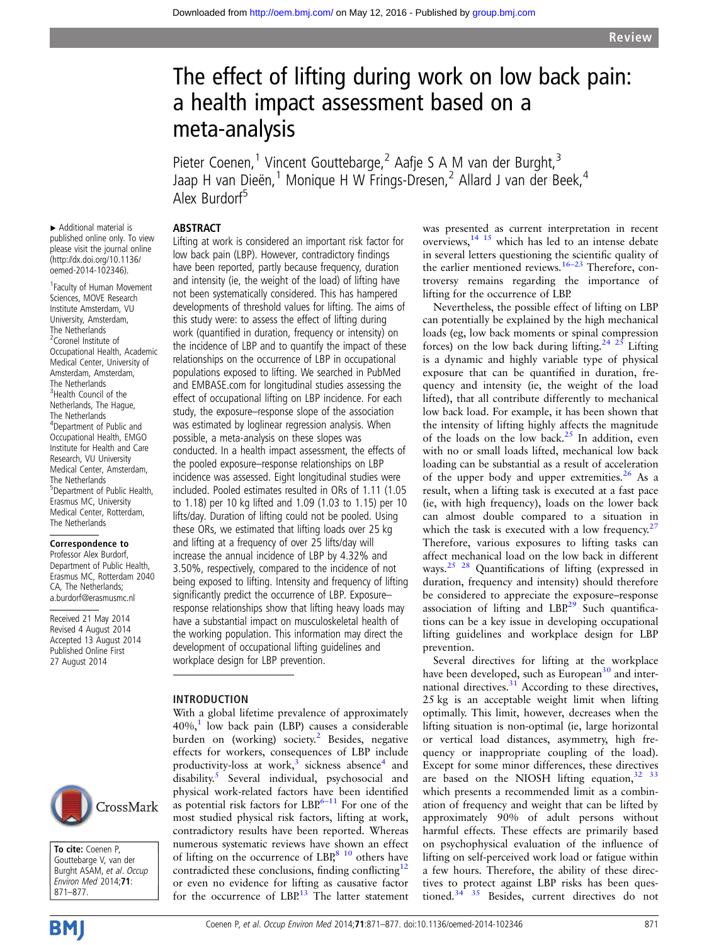# The effect of lifting during work on low back pain: a health impact assessment based on a meta-analysis

Pieter Coenen,<sup>1</sup> Vincent Gouttebarge,<sup>2</sup> Aafje S A M van der Burght,<sup>3</sup> Jaap H van Dieën,<sup>1</sup> Monique H W Frings-Dresen,<sup>2</sup> Allard J van der Beek,<sup>4</sup> Alex Burdorf<sup>5</sup>

## ABSTRACT

▸ Additional material is published online only. To view please visit the journal online [\(http://dx.doi.org/10.1136/](http://dx.doi.org/10.1136/oemed-2014-102346) [oemed-2014-102346](http://dx.doi.org/10.1136/oemed-2014-102346)).

1 Faculty of Human Movement Sciences, MOVE Research Institute Amsterdam, VU University, Amsterdam, The Netherlands <sup>2</sup>Coronel Institute of Occupational Health, Academic Medical Center, University of Amsterdam, Amsterdam, The Netherlands <sup>3</sup>Health Council of the Netherlands, The Hague, The Netherlands 4 Department of Public and Occupational Health, EMGO Institute for Health and Care Research, VU University Medical Center, Amsterdam, The Netherlands 5 Department of Public Health, Erasmus MC, University Medical Center, Rotterdam, The Netherlands

#### Correspondence to

Professor Alex Burdorf, Department of Public Health, Erasmus MC, Rotterdam 2040 CA, The Netherlands; a.burdorf@erasmusmc.nl

Received 21 May 2014 Revised 4 August 2014 Accepted 13 August 2014 Published Online First 27 August 2014



To cite: Coenen P, Gouttebarge V, van der Burght ASAM, et al. Occup Environ Med 2014;71: 871–877.

**BM** 

Lifting at work is considered an important risk factor for low back pain (LBP). However, contradictory findings have been reported, partly because frequency, duration and intensity (ie, the weight of the load) of lifting have not been systematically considered. This has hampered developments of threshold values for lifting. The aims of this study were: to assess the effect of lifting during work (quantified in duration, frequency or intensity) on the incidence of LBP and to quantify the impact of these relationships on the occurrence of LBP in occupational populations exposed to lifting. We searched in PubMed and EMBASE.com for longitudinal studies assessing the effect of occupational lifting on LBP incidence. For each study, the exposure–response slope of the association was estimated by loglinear regression analysis. When possible, a meta-analysis on these slopes was conducted. In a health impact assessment, the effects of the pooled exposure–response relationships on LBP incidence was assessed. Eight longitudinal studies were included. Pooled estimates resulted in ORs of 1.11 (1.05 to 1.18) per 10 kg lifted and 1.09 (1.03 to 1.15) per 10 lifts/day. Duration of lifting could not be pooled. Using these ORs, we estimated that lifting loads over 25 kg and lifting at a frequency of over 25 lifts/day will increase the annual incidence of LBP by 4.32% and 3.50%, respectively, compared to the incidence of not being exposed to lifting. Intensity and frequency of lifting significantly predict the occurrence of LBP. Exposure– response relationships show that lifting heavy loads may have a substantial impact on musculoskeletal health of the working population. This information may direct the development of occupational lifting guidelines and workplace design for LBP prevention.

#### INTRODUCTION

With a global lifetime prevalence of approximately  $40\%$ ,<sup>[1](#page-5-0)</sup> low back pain (LBP) causes a considerable burden on (working) society.<sup>[2](#page-5-0)</sup> Besides, negative effects for workers, consequences of LBP include productivity-loss at work, $3$  sickness absence<sup>4</sup> and disability.[5](#page-5-0) Several individual, psychosocial and physical work-related factors have been identified as potential risk factors for  $LBP^{6-11}$  $LBP^{6-11}$  $LBP^{6-11}$  For one of the most studied physical risk factors, lifting at work, contradictory results have been reported. Whereas numerous systematic reviews have shown an effect of lifting on the occurrence of  $LBP<sup>8 10</sup>$  $LBP<sup>8 10</sup>$  $LBP<sup>8 10</sup>$  others have contradicted these conclusions, finding conflicting<sup>[12](#page-5-0)</sup> or even no evidence for lifting as causative factor for the occurrence of  $LBP^{13}$  $LBP^{13}$  $LBP^{13}$  The latter statement

was presented as current interpretation in recent overviews,[14 15](#page-5-0) which has led to an intense debate in several letters questioning the scientific quality of the earlier mentioned reviews.<sup>[16](#page-6-0)–23</sup> Therefore, controversy remains regarding the importance of lifting for the occurrence of LBP.

Nevertheless, the possible effect of lifting on LBP can potentially be explained by the high mechanical loads (eg, low back moments or spinal compression forces) on the low back during lifting.<sup>[24 25](#page-6-0)</sup> Lifting is a dynamic and highly variable type of physical exposure that can be quantified in duration, frequency and intensity (ie, the weight of the load lifted), that all contribute differently to mechanical low back load. For example, it has been shown that the intensity of lifting highly affects the magnitude of the loads on the low back. $25$  In addition, even with no or small loads lifted, mechanical low back loading can be substantial as a result of acceleration of the upper body and upper extremities. $26$  As a result, when a lifting task is executed at a fast pace (ie, with high frequency), loads on the lower back can almost double compared to a situation in which the task is executed with a low frequency. $27$ Therefore, various exposures to lifting tasks can affect mechanical load on the low back in different ways.<sup>25</sup> <sup>28</sup> Quantifications of lifting (expressed in duration, frequency and intensity) should therefore be considered to appreciate the exposure–response association of lifting and  $LBP<sup>29</sup>$  $LBP<sup>29</sup>$  $LBP<sup>29</sup>$  Such quantifications can be a key issue in developing occupational lifting guidelines and workplace design for LBP prevention.

Several directives for lifting at the workplace have been developed, such as European $30$  and inter-national directives.<sup>[31](#page-6-0)</sup> According to these directives, 25 kg is an acceptable weight limit when lifting optimally. This limit, however, decreases when the lifting situation is non-optimal (ie, large horizontal or vertical load distances, asymmetry, high frequency or inappropriate coupling of the load). Except for some minor differences, these directives are based on the NIOSH lifting equation,  $32^{33}$ which presents a recommended limit as a combination of frequency and weight that can be lifted by approximately 90% of adult persons without harmful effects. These effects are primarily based on psychophysical evaluation of the influence of lifting on self-perceived work load or fatigue within a few hours. Therefore, the ability of these directives to protect against LBP risks has been questioned.<sup>34 35</sup> Besides, current directives do not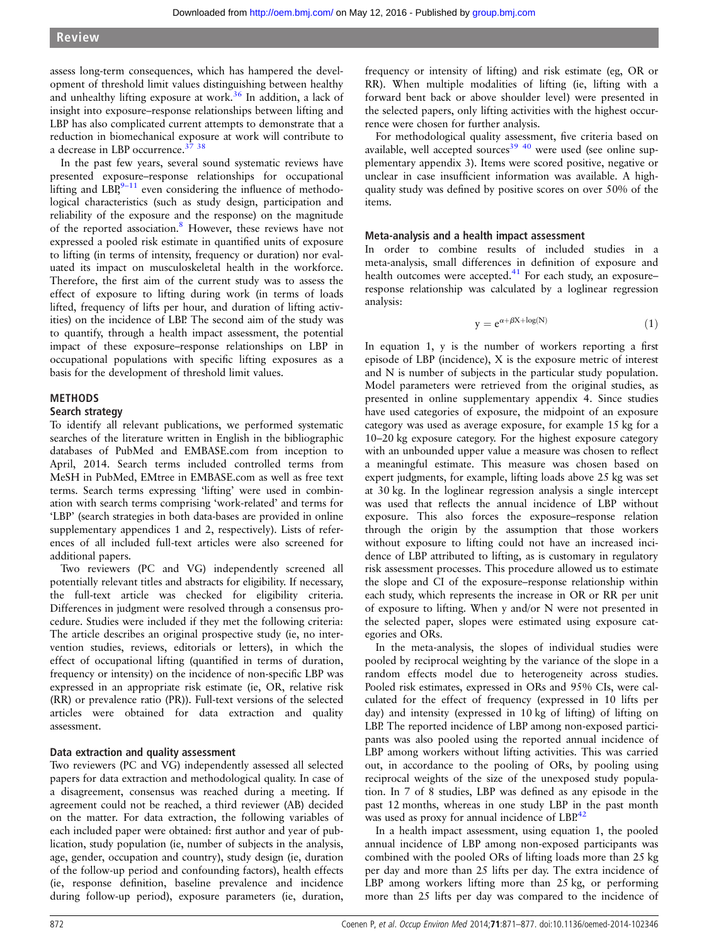assess long-term consequences, which has hampered the development of threshold limit values distinguishing between healthy and unhealthy lifting exposure at work.<sup>[36](#page-6-0)</sup> In addition, a lack of insight into exposure–response relationships between lifting and LBP has also complicated current attempts to demonstrate that a reduction in biomechanical exposure at work will contribute to a decrease in LBP occurrence.<sup>37</sup> <sup>38</sup>

In the past few years, several sound systematic reviews have presented exposure–response relationships for occupational lifting and  $LRR^{9-11}$  $LRR^{9-11}$  $LRR^{9-11}$  even considering the influence of methodological characteristics (such as study design, participation and reliability of the exposure and the response) on the magnitude of the reported association.<sup>8</sup> However, these reviews have not expressed a pooled risk estimate in quantified units of exposure to lifting (in terms of intensity, frequency or duration) nor evaluated its impact on musculoskeletal health in the workforce. Therefore, the first aim of the current study was to assess the effect of exposure to lifting during work (in terms of loads lifted, frequency of lifts per hour, and duration of lifting activities) on the incidence of LBP. The second aim of the study was to quantify, through a health impact assessment, the potential impact of these exposure–response relationships on LBP in occupational populations with specific lifting exposures as a basis for the development of threshold limit values.

#### METHODS

#### Search strategy

To identify all relevant publications, we performed systematic searches of the literature written in English in the bibliographic databases of PubMed and EMBASE.com from inception to April, 2014. Search terms included controlled terms from MeSH in PubMed, EMtree in EMBASE.com as well as free text terms. Search terms expressing 'lifting' were used in combination with search terms comprising 'work-related' and terms for 'LBP' (search strategies in both data-bases are provided in online supplementary appendices 1 and 2, respectively). Lists of references of all included full-text articles were also screened for additional papers.

Two reviewers (PC and VG) independently screened all potentially relevant titles and abstracts for eligibility. If necessary, the full-text article was checked for eligibility criteria. Differences in judgment were resolved through a consensus procedure. Studies were included if they met the following criteria: The article describes an original prospective study (ie, no intervention studies, reviews, editorials or letters), in which the effect of occupational lifting (quantified in terms of duration, frequency or intensity) on the incidence of non-specific LBP was expressed in an appropriate risk estimate (ie, OR, relative risk (RR) or prevalence ratio (PR)). Full-text versions of the selected articles were obtained for data extraction and quality assessment.

#### Data extraction and quality assessment

Two reviewers (PC and VG) independently assessed all selected papers for data extraction and methodological quality. In case of a disagreement, consensus was reached during a meeting. If agreement could not be reached, a third reviewer (AB) decided on the matter. For data extraction, the following variables of each included paper were obtained: first author and year of publication, study population (ie, number of subjects in the analysis, age, gender, occupation and country), study design (ie, duration of the follow-up period and confounding factors), health effects (ie, response definition, baseline prevalence and incidence during follow-up period), exposure parameters (ie, duration,

frequency or intensity of lifting) and risk estimate (eg, OR or RR). When multiple modalities of lifting (ie, lifting with a forward bent back or above shoulder level) were presented in the selected papers, only lifting activities with the highest occurrence were chosen for further analysis.

For methodological quality assessment, five criteria based on available, well accepted sources<sup>[39 40](#page-6-0)</sup> were used (see online supplementary appendix 3). Items were scored positive, negative or unclear in case insufficient information was available. A highquality study was defined by positive scores on over 50% of the items.

#### Meta-analysis and a health impact assessment

In order to combine results of included studies in a meta-analysis, small differences in definition of exposure and health outcomes were accepted. $41$  For each study, an exposure– response relationship was calculated by a loglinear regression analysis:

$$
y = e^{\alpha + \beta X + \log(N)} \tag{1}
$$

In equation 1, y is the number of workers reporting a first episode of LBP (incidence), X is the exposure metric of interest and N is number of subjects in the particular study population. Model parameters were retrieved from the original studies, as presented in online supplementary appendix 4. Since studies have used categories of exposure, the midpoint of an exposure category was used as average exposure, for example 15 kg for a 10–20 kg exposure category. For the highest exposure category with an unbounded upper value a measure was chosen to reflect a meaningful estimate. This measure was chosen based on expert judgments, for example, lifting loads above 25 kg was set at 30 kg. In the loglinear regression analysis a single intercept was used that reflects the annual incidence of LBP without exposure. This also forces the exposure–response relation through the origin by the assumption that those workers without exposure to lifting could not have an increased incidence of LBP attributed to lifting, as is customary in regulatory risk assessment processes. This procedure allowed us to estimate the slope and CI of the exposure–response relationship within each study, which represents the increase in OR or RR per unit of exposure to lifting. When y and/or N were not presented in the selected paper, slopes were estimated using exposure categories and ORs.

In the meta-analysis, the slopes of individual studies were pooled by reciprocal weighting by the variance of the slope in a random effects model due to heterogeneity across studies. Pooled risk estimates, expressed in ORs and 95% CIs, were calculated for the effect of frequency (expressed in 10 lifts per day) and intensity (expressed in 10 kg of lifting) of lifting on LBP. The reported incidence of LBP among non-exposed participants was also pooled using the reported annual incidence of LBP among workers without lifting activities. This was carried out, in accordance to the pooling of ORs, by pooling using reciprocal weights of the size of the unexposed study population. In 7 of 8 studies, LBP was defined as any episode in the past 12 months, whereas in one study LBP in the past month was used as proxy for annual incidence of LBP.<sup>[42](#page-6-0)</sup>

In a health impact assessment, using equation 1, the pooled annual incidence of LBP among non-exposed participants was combined with the pooled ORs of lifting loads more than 25 kg per day and more than 25 lifts per day. The extra incidence of LBP among workers lifting more than 25 kg, or performing more than 25 lifts per day was compared to the incidence of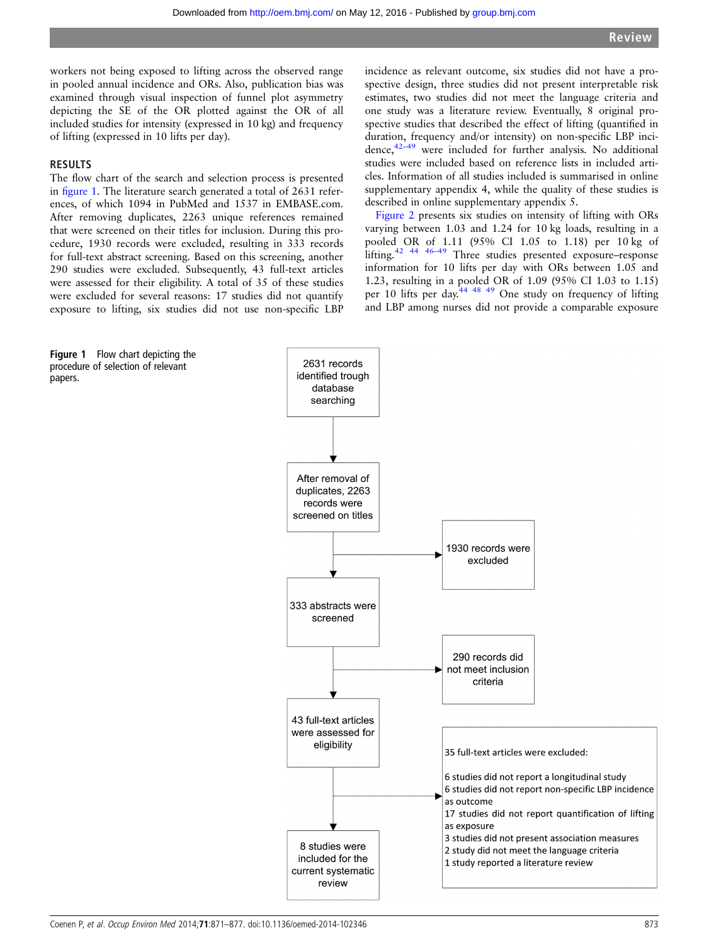workers not being exposed to lifting across the observed range in pooled annual incidence and ORs. Also, publication bias was examined through visual inspection of funnel plot asymmetry depicting the SE of the OR plotted against the OR of all included studies for intensity (expressed in 10 kg) and frequency of lifting (expressed in 10 lifts per day).

#### **RESULTS**

papers.

The flow chart of the search and selection process is presented in figure 1. The literature search generated a total of 2631 references, of which 1094 in PubMed and 1537 in EMBASE.com. After removing duplicates, 2263 unique references remained that were screened on their titles for inclusion. During this procedure, 1930 records were excluded, resulting in 333 records for full-text abstract screening. Based on this screening, another 290 studies were excluded. Subsequently, 43 full-text articles were assessed for their eligibility. A total of 35 of these studies were excluded for several reasons: 17 studies did not quantify exposure to lifting, six studies did not use non-specific LBP

incidence as relevant outcome, six studies did not have a prospective design, three studies did not present interpretable risk estimates, two studies did not meet the language criteria and one study was a literature review. Eventually, 8 original prospective studies that described the effect of lifting (quantified in duration, frequency and/or intensity) on non-specific LBP incidence, $42-49$  $42-49$  were included for further analysis. No additional studies were included based on reference lists in included articles. Information of all studies included is summarised in online supplementary appendix 4, while the quality of these studies is described in online supplementary appendix 5.

[Figure 2](#page-3-0) presents six studies on intensity of lifting with ORs varying between 1.03 and 1.24 for 10 kg loads, resulting in a pooled OR of 1.11 (95% CI 1.05 to 1.18) per 10 kg of lifting.[42 44 46](#page-6-0)–<sup>49</sup> Three studies presented exposure–response information for 10 lifts per day with ORs between 1.05 and 1.23, resulting in a pooled OR of 1.09 (95% CI 1.03 to 1.15) per 10 lifts per day.<sup>[44 48 49](#page-6-0)</sup> One study on frequency of lifting and LBP among nurses did not provide a comparable exposure

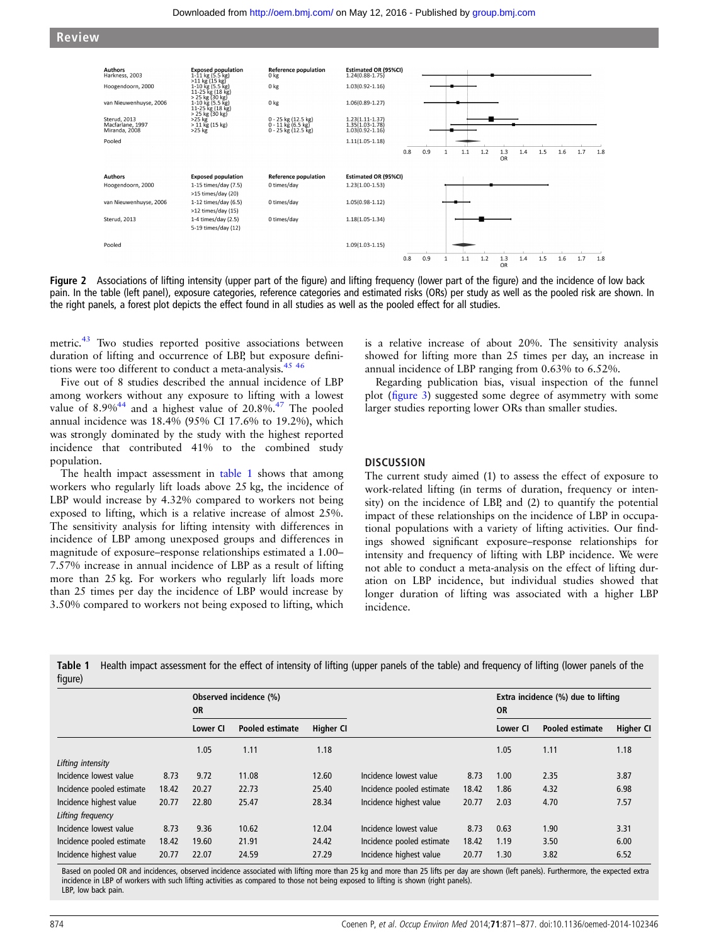<span id="page-3-0"></span>



Figure 2 Associations of lifting intensity (upper part of the figure) and lifting frequency (lower part of the figure) and the incidence of low back pain. In the table (left panel), exposure categories, reference categories and estimated risks (ORs) per study as well as the pooled risk are shown. In the right panels, a forest plot depicts the effect found in all studies as well as the pooled effect for all studies.

metric.<sup>[43](#page-6-0)</sup> Two studies reported positive associations between duration of lifting and occurrence of LBP, but exposure definitions were too different to conduct a meta-analysis.<sup>45</sup> <sup>46</sup>

Five out of 8 studies described the annual incidence of LBP among workers without any exposure to lifting with a lowest value of  $8.9\%^{44}$  $8.9\%^{44}$  $8.9\%^{44}$  and a highest value of  $20.8\%^{47}$  The pooled annual incidence was 18.4% (95% CI 17.6% to 19.2%), which was strongly dominated by the study with the highest reported incidence that contributed 41% to the combined study population.

The health impact assessment in table 1 shows that among workers who regularly lift loads above 25 kg, the incidence of LBP would increase by 4.32% compared to workers not being exposed to lifting, which is a relative increase of almost 25%. The sensitivity analysis for lifting intensity with differences in incidence of LBP among unexposed groups and differences in magnitude of exposure–response relationships estimated a 1.00– 7.57% increase in annual incidence of LBP as a result of lifting more than 25 kg. For workers who regularly lift loads more than 25 times per day the incidence of LBP would increase by 3.50% compared to workers not being exposed to lifting, which

is a relative increase of about 20%. The sensitivity analysis showed for lifting more than 25 times per day, an increase in annual incidence of LBP ranging from 0.63% to 6.52%.

Regarding publication bias, visual inspection of the funnel plot (fi[gure 3](#page-4-0)) suggested some degree of asymmetry with some larger studies reporting lower ORs than smaller studies.

#### **DISCUSSION**

The current study aimed (1) to assess the effect of exposure to work-related lifting (in terms of duration, frequency or intensity) on the incidence of LBP, and (2) to quantify the potential impact of these relationships on the incidence of LBP in occupational populations with a variety of lifting activities. Our findings showed significant exposure–response relationships for intensity and frequency of lifting with LBP incidence. We were not able to conduct a meta-analysis on the effect of lifting duration on LBP incidence, but individual studies showed that longer duration of lifting was associated with a higher LBP incidence.

|         | Table 1 Health impact assessment for the effect of intensity of lifting (upper panels of the table) and frequency of lifting (lower panels of the |  |  |
|---------|---------------------------------------------------------------------------------------------------------------------------------------------------|--|--|
| figure) |                                                                                                                                                   |  |  |

|                           |       | Observed incidence (%)<br><b>OR</b> |                 |                  |                           |       | Extra incidence (%) due to lifting<br><b>OR</b> |                 |                  |
|---------------------------|-------|-------------------------------------|-----------------|------------------|---------------------------|-------|-------------------------------------------------|-----------------|------------------|
|                           |       | Lower CI                            | Pooled estimate | <b>Higher CI</b> |                           |       | Lower CI                                        | Pooled estimate | <b>Higher CI</b> |
|                           |       | 1.05                                | 1.11            | 1.18             |                           |       | 1.05                                            | 1.11            | 1.18             |
| Lifting intensity         |       |                                     |                 |                  |                           |       |                                                 |                 |                  |
| Incidence lowest value    | 8.73  | 9.72                                | 11.08           | 12.60            | Incidence lowest value    | 8.73  | 1.00                                            | 2.35            | 3.87             |
| Incidence pooled estimate | 18.42 | 20.27                               | 22.73           | 25.40            | Incidence pooled estimate | 18.42 | 1.86                                            | 4.32            | 6.98             |
| Incidence highest value   | 20.77 | 22.80                               | 25.47           | 28.34            | Incidence highest value   | 20.77 | 2.03                                            | 4.70            | 7.57             |
| Lifting frequency         |       |                                     |                 |                  |                           |       |                                                 |                 |                  |
| Incidence lowest value    | 8.73  | 9.36                                | 10.62           | 12.04            | Incidence lowest value    | 8.73  | 0.63                                            | 1.90            | 3.31             |
| Incidence pooled estimate | 18.42 | 19.60                               | 21.91           | 24.42            | Incidence pooled estimate | 18.42 | 1.19                                            | 3.50            | 6.00             |
| Incidence highest value   | 20.77 | 22.07                               | 24.59           | 27.29            | Incidence highest value   | 20.77 | 1.30                                            | 3.82            | 6.52             |

Based on pooled OR and incidences, observed incidence associated with lifting more than 25 kg and more than 25 lifts per day are shown (left panels). Furthermore, the expected extra incidence in LBP of workers with such lifting activities as compared to those not being exposed to lifting is shown (right panels). LBP, low back pain.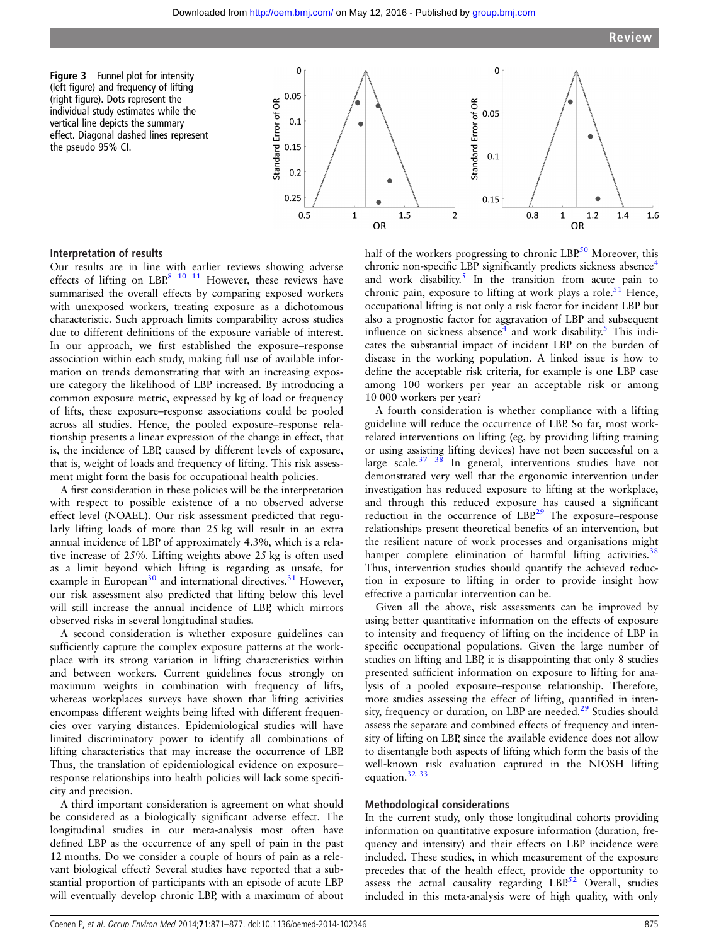<span id="page-4-0"></span>Figure 3 Funnel plot for intensity (left figure) and frequency of lifting (right figure). Dots represent the individual study estimates while the vertical line depicts the summary effect. Diagonal dashed lines represent the pseudo 95% CI.



### Interpretation of results

Our results are in line with earlier reviews showing adverse effects of lifting on LBP.<sup>[8 10 11](#page-5-0)</sup> However, these reviews have summarised the overall effects by comparing exposed workers with unexposed workers, treating exposure as a dichotomous characteristic. Such approach limits comparability across studies due to different definitions of the exposure variable of interest. In our approach, we first established the exposure–response association within each study, making full use of available information on trends demonstrating that with an increasing exposure category the likelihood of LBP increased. By introducing a common exposure metric, expressed by kg of load or frequency of lifts, these exposure–response associations could be pooled across all studies. Hence, the pooled exposure–response relationship presents a linear expression of the change in effect, that is, the incidence of LBP, caused by different levels of exposure, that is, weight of loads and frequency of lifting. This risk assessment might form the basis for occupational health policies.

A first consideration in these policies will be the interpretation with respect to possible existence of a no observed adverse effect level (NOAEL). Our risk assessment predicted that regularly lifting loads of more than 25 kg will result in an extra annual incidence of LBP of approximately 4.3%, which is a relative increase of 25%. Lifting weights above 25 kg is often used as a limit beyond which lifting is regarding as unsafe, for example in European $30$  and international directives.<sup>[31](#page-6-0)</sup> However, our risk assessment also predicted that lifting below this level will still increase the annual incidence of LBP, which mirrors observed risks in several longitudinal studies.

A second consideration is whether exposure guidelines can sufficiently capture the complex exposure patterns at the workplace with its strong variation in lifting characteristics within and between workers. Current guidelines focus strongly on maximum weights in combination with frequency of lifts, whereas workplaces surveys have shown that lifting activities encompass different weights being lifted with different frequencies over varying distances. Epidemiological studies will have limited discriminatory power to identify all combinations of lifting characteristics that may increase the occurrence of LBP. Thus, the translation of epidemiological evidence on exposure– response relationships into health policies will lack some specificity and precision.

A third important consideration is agreement on what should be considered as a biologically significant adverse effect. The longitudinal studies in our meta-analysis most often have defined LBP as the occurrence of any spell of pain in the past 12 months. Do we consider a couple of hours of pain as a relevant biological effect? Several studies have reported that a substantial proportion of participants with an episode of acute LBP will eventually develop chronic LBP, with a maximum of about

half of the workers progressing to chronic LBP.<sup>[50](#page-6-0)</sup> Moreover, this chronic non-specific LBP significantly predicts sickness absence<sup>[4](#page-5-0)</sup> and work disability.<sup>[5](#page-5-0)</sup> In the transition from acute pain to chronic pain, exposure to lifting at work plays a role.<sup>51</sup> Hence, occupational lifting is not only a risk factor for incident LBP but also a prognostic factor for aggravation of LBP and subsequent influence on sickness absence<sup>4</sup> and work disability.<sup>[5](#page-5-0)</sup> This indicates the substantial impact of incident LBP on the burden of disease in the working population. A linked issue is how to define the acceptable risk criteria, for example is one LBP case among 100 workers per year an acceptable risk or among 10 000 workers per year?

A fourth consideration is whether compliance with a lifting guideline will reduce the occurrence of LBP. So far, most workrelated interventions on lifting (eg, by providing lifting training or using assisting lifting devices) have not been successful on a large scale. $37 \frac{38}{10}$  In general, interventions studies have not demonstrated very well that the ergonomic intervention under investigation has reduced exposure to lifting at the workplace, and through this reduced exposure has caused a significant reduction in the occurrence of LBP.<sup>[29](#page-6-0)</sup> The exposure–response relationships present theoretical benefits of an intervention, but the resilient nature of work processes and organisations might hamper complete elimination of harmful lifting activities.<sup>3</sup> Thus, intervention studies should quantify the achieved reduction in exposure to lifting in order to provide insight how effective a particular intervention can be.

Given all the above, risk assessments can be improved by using better quantitative information on the effects of exposure to intensity and frequency of lifting on the incidence of LBP in specific occupational populations. Given the large number of studies on lifting and LBP, it is disappointing that only 8 studies presented sufficient information on exposure to lifting for analysis of a pooled exposure–response relationship. Therefore, more studies assessing the effect of lifting, quantified in inten-sity, frequency or duration, on LBP are needed.<sup>[29](#page-6-0)</sup> Studies should assess the separate and combined effects of frequency and intensity of lifting on LBP, since the available evidence does not allow to disentangle both aspects of lifting which form the basis of the well-known risk evaluation captured in the NIOSH lifting equation.<sup>32</sup> <sup>33</sup>

#### Methodological considerations

In the current study, only those longitudinal cohorts providing information on quantitative exposure information (duration, frequency and intensity) and their effects on LBP incidence were included. These studies, in which measurement of the exposure precedes that of the health effect, provide the opportunity to assess the actual causality regarding  $LBP^{52}$  $LBP^{52}$  $LBP^{52}$  Overall, studies included in this meta-analysis were of high quality, with only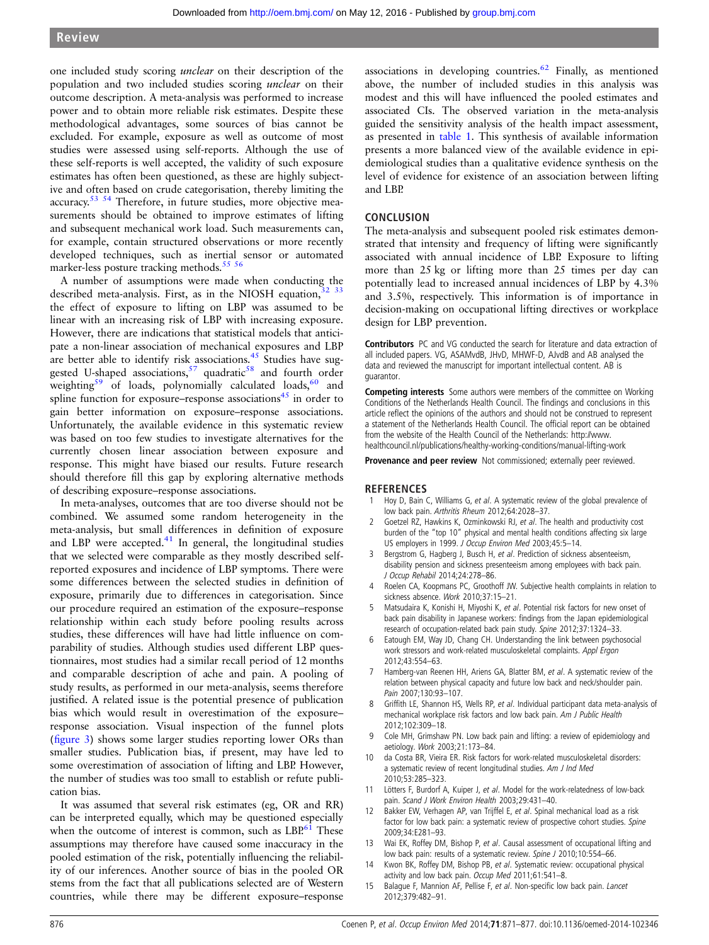<span id="page-5-0"></span>one included study scoring unclear on their description of the population and two included studies scoring unclear on their outcome description. A meta-analysis was performed to increase power and to obtain more reliable risk estimates. Despite these methodological advantages, some sources of bias cannot be excluded. For example, exposure as well as outcome of most studies were assessed using self-reports. Although the use of these self-reports is well accepted, the validity of such exposure estimates has often been questioned, as these are highly subjective and often based on crude categorisation, thereby limiting the accuracy.<sup>[53 54](#page-6-0)</sup> Therefore, in future studies, more objective measurements should be obtained to improve estimates of lifting and subsequent mechanical work load. Such measurements can, for example, contain structured observations or more recently developed techniques, such as inertial sensor or automated marker-less posture tracking methods.<sup>[55 56](#page-6-0)</sup>

A number of assumptions were made when conducting the described meta-analysis. First, as in the NIOSH equation,<sup>3</sup> the effect of exposure to lifting on LBP was assumed to be linear with an increasing risk of LBP with increasing exposure. However, there are indications that statistical models that anticipate a non-linear association of mechanical exposures and LBP are better able to identify risk associations.<sup>[45](#page-6-0)</sup> Studies have sug-gested U-shaped associations,<sup>[57](#page-6-0)</sup> quadratic<sup>58</sup> and fourth order weighting<sup>[59](#page-6-0)</sup> of loads, polynomially calculated loads,<sup>60</sup> and spline function for exposure–response associations $45$  in order to gain better information on exposure–response associations. Unfortunately, the available evidence in this systematic review was based on too few studies to investigate alternatives for the currently chosen linear association between exposure and response. This might have biased our results. Future research should therefore fill this gap by exploring alternative methods of describing exposure–response associations.

In meta-analyses, outcomes that are too diverse should not be combined. We assumed some random heterogeneity in the meta-analysis, but small differences in definition of exposure and LBP were accepted.<sup>[41](#page-6-0)</sup> In general, the longitudinal studies that we selected were comparable as they mostly described selfreported exposures and incidence of LBP symptoms. There were some differences between the selected studies in definition of exposure, primarily due to differences in categorisation. Since our procedure required an estimation of the exposure–response relationship within each study before pooling results across studies, these differences will have had little influence on comparability of studies. Although studies used different LBP questionnaires, most studies had a similar recall period of 12 months and comparable description of ache and pain. A pooling of study results, as performed in our meta-analysis, seems therefore justified. A related issue is the potential presence of publication bias which would result in overestimation of the exposure– response association. Visual inspection of the funnel plots (fi[gure 3\)](#page-4-0) shows some larger studies reporting lower ORs than smaller studies. Publication bias, if present, may have led to some overestimation of association of lifting and LBP. However, the number of studies was too small to establish or refute publication bias.

It was assumed that several risk estimates (eg, OR and RR) can be interpreted equally, which may be questioned especially when the outcome of interest is common, such as  $LBP^{61}$  $LBP^{61}$  $LBP^{61}$  These assumptions may therefore have caused some inaccuracy in the pooled estimation of the risk, potentially influencing the reliability of our inferences. Another source of bias in the pooled OR stems from the fact that all publications selected are of Western countries, while there may be different exposure–response

associations in developing countries. $62$  Finally, as mentioned above, the number of included studies in this analysis was modest and this will have influenced the pooled estimates and associated CIs. The observed variation in the meta-analysis guided the sensitivity analysis of the health impact assessment, as presented in [table 1](#page-3-0). This synthesis of available information presents a more balanced view of the available evidence in epidemiological studies than a qualitative evidence synthesis on the level of evidence for existence of an association between lifting and LBP.

#### **CONCLUSION**

The meta-analysis and subsequent pooled risk estimates demonstrated that intensity and frequency of lifting were significantly associated with annual incidence of LBP. Exposure to lifting more than 25 kg or lifting more than 25 times per day can potentially lead to increased annual incidences of LBP by 4.3% and 3.5%, respectively. This information is of importance in decision-making on occupational lifting directives or workplace design for LBP prevention.

Contributors PC and VG conducted the search for literature and data extraction of all included papers. VG, ASAMvdB, JHvD, MHWF-D, AJvdB and AB analysed the data and reviewed the manuscript for important intellectual content. AB is guarantor.

Competing interests Some authors were members of the committee on Working Conditions of the Netherlands Health Council. The findings and conclusions in this article reflect the opinions of the authors and should not be construed to represent a statement of the Netherlands Health Council. The official report can be obtained from the website of the Health Council of the Netherlands: [http://www.](http://www.healthcouncil.nl/publications/healthy-working-conditions/manual-lifting-work) [healthcouncil.nl/publications/healthy-working-conditions/manual-lifting-work](http://www.healthcouncil.nl/publications/healthy-working-conditions/manual-lifting-work)

Provenance and peer review Not commissioned; externally peer reviewed.

#### **REFERENCES**

- Hoy D, Bain C, Williams G, et al. A systematic review of the global prevalence of low back pain. Arthritis Rheum 2012;64:2028–37.
- Goetzel RZ, Hawkins K, Ozminkowski RJ, et al. The health and productivity cost burden of the "top 10" physical and mental health conditions affecting six large US employers in 1999. J Occup Environ Med 2003;45:5-14.
- 3 Bergstrom G, Hagberg J, Busch H, et al. Prediction of sickness absenteeism, disability pension and sickness presenteeism among employees with back pain. J Occup Rehabil 2014;24:278–86.
- 4 Roelen CA, Koopmans PC, Groothoff JW. Subjective health complaints in relation to sickness absence. Work 2010;37:15–21.
- 5 Matsudaira K, Konishi H, Miyoshi K, et al. Potential risk factors for new onset of back pain disability in Japanese workers: findings from the Japan epidemiological research of occupation-related back pain study. Spine 2012;37:1324–33.
- Eatough EM, Way JD, Chang CH. Understanding the link between psychosocial work stressors and work-related musculoskeletal complaints. Appl Ergon 2012;43:554–63.
- Hamberg-van Reenen HH, Ariens GA, Blatter BM, et al. A systematic review of the relation between physical capacity and future low back and neck/shoulder pain. Pain 2007;130:93–107.
- 8 Griffith LE, Shannon HS, Wells RP, et al. Individual participant data meta-analysis of mechanical workplace risk factors and low back pain. Am J Public Health 2012;102:309–18.
- Cole MH, Grimshaw PN. Low back pain and lifting: a review of epidemiology and aetiology. Work 2003;21:173–84.
- 10 da Costa BR, Vieira ER. Risk factors for work-related musculoskeletal disorders: a systematic review of recent longitudinal studies. Am J Ind Med 2010;53:285–323.
- 11 Lötters F, Burdorf A, Kuiper J, et al. Model for the work-relatedness of low-back pain. Scand J Work Environ Health 2003;29:431–40.
- 12 Bakker EW, Verhagen AP, van Trijffel E, et al. Spinal mechanical load as a risk factor for low back pain: a systematic review of prospective cohort studies. Spine 2009;34:E281–93.
- 13 Wai EK, Roffey DM, Bishop P, et al. Causal assessment of occupational lifting and low back pain: results of a systematic review. Spine J 2010;10:554-66.
- 14 Kwon BK, Roffey DM, Bishop PB, et al. Systematic review: occupational physical activity and low back pain. Occup Med 2011;61:541–8.
- 15 Balague F, Mannion AF, Pellise F, et al. Non-specific low back pain. Lancet 2012;379:482–91.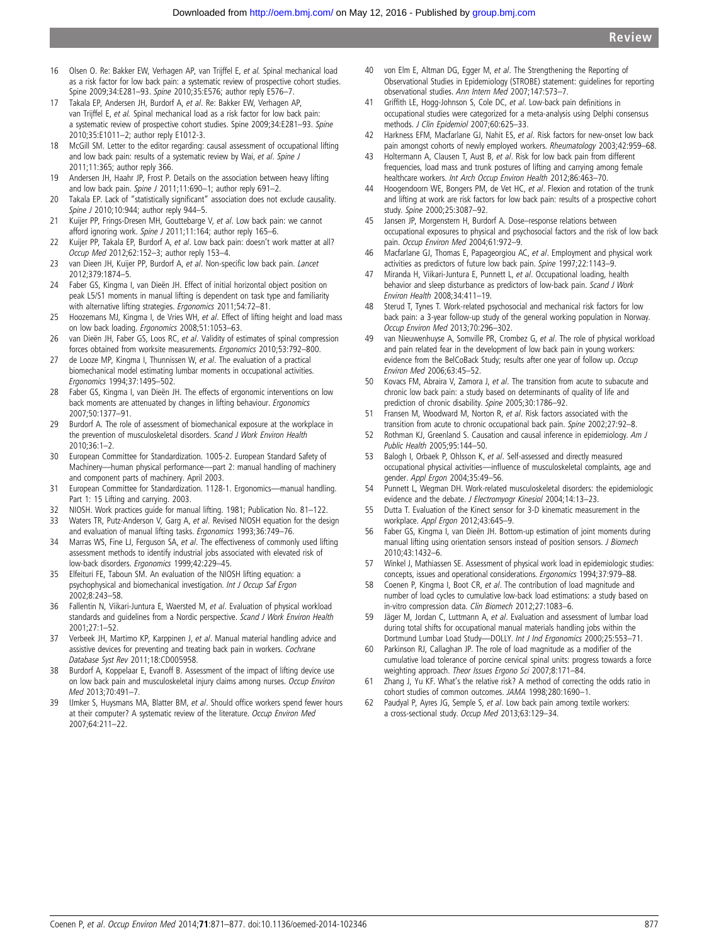- <span id="page-6-0"></span>16 Olsen O. Re: Bakker EW, Verhagen AP, van Trijffel E, et al. Spinal mechanical load as a risk factor for low back pain: a systematic review of prospective cohort studies. Spine 2009;34:E281–93. Spine 2010;35:E576; author reply E576–7.
- 17 Takala EP, Andersen JH, Burdorf A, et al. Re: Bakker EW, Verhagen AP, van Trijffel E, et al. Spinal mechanical load as a risk factor for low back pain: a systematic review of prospective cohort studies. Spine 2009;34:E281–93. Spine 2010;35:E1011–2; author reply E1012-3.
- 18 McGill SM. Letter to the editor regarding: causal assessment of occupational lifting and low back pain: results of a systematic review by Wai, et al. Spine J 2011;11:365; author reply 366.
- 19 Andersen JH, Haahr JP, Frost P. Details on the association between heavy lifting and low back pain. Spine J 2011;11:690-1; author reply 691-2.
- 20 Takala EP. Lack of "statistically significant" association does not exclude causality. Spine J 2010;10:944; author reply 944-5.
- 21 Kuijer PP, Frings-Dresen MH, Gouttebarge V, et al. Low back pain: we cannot afford ignoring work. Spine J 2011;11:164; author reply 165-6.
- 22 Kuijer PP, Takala EP, Burdorf A, et al. Low back pain: doesn't work matter at all? Occup Med 2012;62:152–3; author reply 153–4.
- 23 van Dieen JH, Kuijer PP, Burdorf A, et al. Non-specific low back pain. Lancet 2012;379:1874–5.
- 24 Faber GS, Kingma I, van Dieën JH. Effect of initial horizontal object position on peak L5/S1 moments in manual lifting is dependent on task type and familiarity with alternative lifting strategies. *Ergonomics* 2011:54:72-81.
- 25 Hoozemans MJ, Kingma I, de Vries WH, et al. Effect of lifting height and load mass on low back loading. Ergonomics 2008;51:1053–63.
- 26 van Dieën JH, Faber GS, Loos RC, et al. Validity of estimates of spinal compression forces obtained from worksite measurements. Ergonomics 2010;53:792–800.
- 27 de Looze MP, Kingma I, Thunnissen W, et al. The evaluation of a practical biomechanical model estimating lumbar moments in occupational activities. Ergonomics 1994;37:1495–502.
- 28 Faber GS, Kingma I, van Dieën JH. The effects of ergonomic interventions on low back moments are attenuated by changes in lifting behaviour. Ergonomics 2007;50:1377–91.
- 29 Burdorf A. The role of assessment of biomechanical exposure at the workplace in the prevention of musculoskeletal disorders. Scand J Work Environ Health 2010;36:1–2.
- 30 European Committee for Standardization. 1005-2. European Standard Safety of Machinery—human physical performance—part 2: manual handling of machinery and component parts of machinery. April 2003.
- 31 European Committee for Standardization. 1128-1. Ergonomics—manual handling. Part 1: 15 Lifting and carrying. 2003.
- 32 NIOSH. Work practices guide for manual lifting. 1981; Publication No. 81-122.<br>33 Waters TR Putz-Anderson V Garg A *et al* Revised NIOSH equation for the de-
- Waters TR, Putz-Anderson V, Garg A, et al. Revised NIOSH equation for the design and evaluation of manual lifting tasks. Ergonomics 1993;36:749–76.
- 34 Marras WS, Fine LJ, Ferguson SA, et al. The effectiveness of commonly used lifting assessment methods to identify industrial jobs associated with elevated risk of low-back disorders. Ergonomics 1999;42:229–45.
- 35 Elfeituri FE, Taboun SM. An evaluation of the NIOSH lifting equation: a psychophysical and biomechanical investigation. Int J Occup Saf Ergon 2002;8:243–58.
- 36 Fallentin N, Viikari-Juntura E, Waersted M, et al. Evaluation of physical workload standards and guidelines from a Nordic perspective. Scand J Work Environ Health  $2001:27:1-52$
- 37 Verbeek JH, Martimo KP, Karppinen J, et al. Manual material handling advice and assistive devices for preventing and treating back pain in workers. Cochrane Database Syst Rev 2011;18:CD005958.
- 38 Burdorf A, Koppelaar E, Evanoff B. Assessment of the impact of lifting device use on low back pain and musculoskeletal injury claims among nurses. Occup Environ Med 2013;70:491–7.
- 39 IJmker S, Huysmans MA, Blatter BM, et al. Should office workers spend fewer hours at their computer? A systematic review of the literature. Occup Environ Med 2007;64:211–22.
- 40 von Elm E, Altman DG, Egger M, et al. The Strengthening the Reporting of Observational Studies in Epidemiology (STROBE) statement: guidelines for reporting observational studies. Ann Intern Med 2007;147:573–7.
- 41 Griffith LE, Hogg-Johnson S, Cole DC, et al. Low-back pain definitions in occupational studies were categorized for a meta-analysis using Delphi consensus methods. J Clin Epidemiol 2007;60:625–33.
- 42 Harkness EFM, Macfarlane GJ, Nahit ES, et al. Risk factors for new-onset low back pain amongst cohorts of newly employed workers. Rheumatology 2003;42:959-68.
- 43 Holtermann A, Clausen T, Aust B, et al. Risk for low back pain from different frequencies, load mass and trunk postures of lifting and carrying among female healthcare workers. Int Arch Occup Environ Health 2012;86:463-70.
- 44 Hoogendoorn WE, Bongers PM, de Vet HC, et al. Flexion and rotation of the trunk and lifting at work are risk factors for low back pain: results of a prospective cohort study. Spine 2000;25:3087–92.
- 45 Jansen JP, Morgenstern H, Burdorf A. Dose–response relations between occupational exposures to physical and psychosocial factors and the risk of low back pain. Occup Environ Med 2004;61:972–9.
- 46 Macfarlane GJ, Thomas E, Papageorgiou AC, et al. Employment and physical work activities as predictors of future low back pain. Spine 1997;22:1143–9.
- 47 Miranda H, Viikari-Juntura E, Punnett L, et al. Occupational loading, health behavior and sleep disturbance as predictors of low-back pain. Scand J Work Environ Health 2008;34:411–19.
- 48 Sterud T, Tynes T. Work-related psychosocial and mechanical risk factors for low back pain: a 3-year follow-up study of the general working population in Norway. Occup Environ Med 2013;70:296–302.
- 49 van Nieuwenhuyse A, Somville PR, Crombez G, et al. The role of physical workload and pain related fear in the development of low back pain in young workers: evidence from the BelCoBack Study; results after one year of follow up. Occup Environ Med 2006;63:45–52.
- 50 Kovacs FM, Abraira V, Zamora J, et al. The transition from acute to subacute and chronic low back pain: a study based on determinants of quality of life and prediction of chronic disability. Spine 2005;30:1786–92.
- 51 Fransen M, Woodward M, Norton R, et al. Risk factors associated with the transition from acute to chronic occupational back pain. Spine 2002;27:92–8.
- 52 Rothman KJ, Greenland S. Causation and causal inference in epidemiology. Am J Public Health 2005;95:144–50.
- 53 Balogh I, Orbaek P, Ohlsson K, et al. Self-assessed and directly measured occupational physical activities—influence of musculoskeletal complaints, age and gender. Appl Ergon 2004;35:49–56.
- 54 Punnett L, Wegman DH. Work-related musculoskeletal disorders: the epidemiologic evidence and the debate. J Electromyogr Kinesiol 2004;14:13–23.
- 55 Dutta T. Evaluation of the Kinect sensor for 3-D kinematic measurement in the workplace. Appl Ergon 2012;43:645–9.
- 56 Faber GS, Kingma I, van Dieën JH. Bottom-up estimation of joint moments during manual lifting using orientation sensors instead of position sensors. J Biomech 2010;43:1432–6.
- 57 Winkel J, Mathiassen SE. Assessment of physical work load in epidemiologic studies: concepts, issues and operational considerations. Ergonomics 1994;37:979–88.
- 58 Coenen P, Kingma I, Boot CR, et al. The contribution of load magnitude and number of load cycles to cumulative low-back load estimations: a study based on in-vitro compression data. Clin Biomech 2012;27:1083–6.
- 59 Jäger M, Jordan C, Luttmann A, et al. Evaluation and assessment of lumbar load during total shifts for occupational manual materials handling jobs within the Dortmund Lumbar Load Study—DOLLY. Int J Ind Ergonomics 2000;25:553–71.
- 60 Parkinson RJ, Callaghan JP. The role of load magnitude as a modifier of the cumulative load tolerance of porcine cervical spinal units: progress towards a force weighting approach. Theor Issues Ergono Sci 2007;8:171–84.
- 61 Zhang J, Yu KF. What's the relative risk? A method of correcting the odds ratio in cohort studies of common outcomes. JAMA 1998;280:1690–1.
- 62 Paudyal P, Ayres JG, Semple S, et al. Low back pain among textile workers: a cross-sectional study. Occup Med 2013;63:129–34.